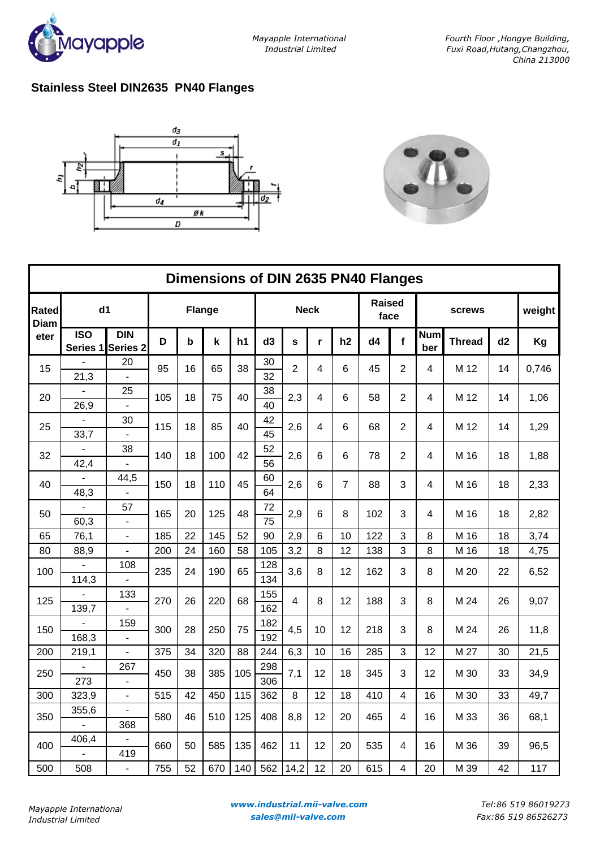

## **Stainless Steel DIN2635 PN40 Flanges**





| Dimensions of DIN 2635 PN40 Flanges |                        |                                   |               |             |     |     |                |                |              |                |                       |                         |                   |               |    |        |
|-------------------------------------|------------------------|-----------------------------------|---------------|-------------|-----|-----|----------------|----------------|--------------|----------------|-----------------------|-------------------------|-------------------|---------------|----|--------|
| <b>Rated</b><br><b>Diam</b>         | d1                     |                                   | <b>Flange</b> |             |     |     | <b>Neck</b>    |                |              |                | <b>Raised</b><br>face |                         | <b>screws</b>     |               |    | weight |
| eter                                | <b>ISO</b><br>Series 1 | <b>DIN</b><br>Series <sub>2</sub> | D             | $\mathbf b$ | k   | h1  | d <sub>3</sub> | S              | $\mathbf{r}$ | h2             | d4                    | $\mathbf f$             | <b>Num</b><br>ber | <b>Thread</b> | d2 | Kg     |
| 15                                  | 21,3                   | 20<br>$\overline{a}$              | 95            | 16          | 65  | 38  | 30<br>32       | $\overline{2}$ | 4            | 6              | 45                    | $\overline{2}$          | 4                 | M 12          | 14 | 0,746  |
| 20                                  | 26,9                   | 25                                | 105           | 18          | 75  | 40  | 38<br>40       | 2,3            | 4            | 6              | 58                    | $\overline{2}$          | 4                 | M 12          | 14 | 1,06   |
| 25                                  | 33,7                   | 30                                | 115           | 18          | 85  | 40  | 42<br>45       | 2,6            | 4            | 6              | 68                    | $\overline{2}$          | 4                 | M 12          | 14 | 1,29   |
| 32                                  | 42,4                   | 38<br>÷                           | 140           | 18          | 100 | 42  | 52<br>56       | 2,6            | 6            | 6              | 78                    | $\overline{2}$          | 4                 | M 16          | 18 | 1,88   |
| 40                                  | 48,3                   | 44,5                              | 150           | 18          | 110 | 45  | 60<br>64       | 2,6            | 6            | $\overline{7}$ | 88                    | 3                       | 4                 | M 16          | 18 | 2,33   |
| 50                                  | 60,3                   | 57<br>$\blacksquare$              | 165           | 20          | 125 | 48  | 72<br>75       | 2,9            | 6            | 8              | 102                   | 3                       | 4                 | M 16          | 18 | 2,82   |
| 65                                  | 76,1                   | ÷,                                | 185           | 22          | 145 | 52  | 90             | 2,9            | 6            | 10             | 122                   | 3                       | 8                 | M 16          | 18 | 3,74   |
| 80                                  | 88,9                   |                                   | 200           | 24          | 160 | 58  | 105            | 3,2            | 8            | 12             | 138                   | 3                       | 8                 | M 16          | 18 | 4,75   |
| 100                                 | 114,3                  | 108                               | 235           | 24          | 190 | 65  | 128<br>134     | 3,6            | 8            | 12             | 162                   | 3                       | 8                 | M 20          | 22 | 6,52   |
| 125                                 |                        | 133                               | 270           | 26          | 220 | 68  | 155            | 4              | 8            | 12             | 188                   | 3                       | 8                 | M 24          | 26 | 9,07   |
|                                     | 139,7                  |                                   |               |             |     |     | 162            |                |              |                |                       |                         |                   |               |    |        |
| 150                                 |                        | 159                               | 300           | 28          | 250 | 75  | 182            | 4,5            | 10           | 12             | 218                   | 3                       | 8                 | M 24          | 26 | 11,8   |
|                                     | 168,3                  | $\overline{a}$                    |               |             |     |     | 192            |                |              |                |                       |                         |                   |               |    |        |
| 200                                 | 219,1                  | $\blacksquare$                    | 375           | 34          | 320 | 88  | 244            | 6,3            | 10           | 16             | 285                   | 3                       | 12                | M 27          | 30 | 21,5   |
| 250                                 |                        | 267                               | 450           | 38          | 385 | 105 | 298            | 7,1            | 12           | 18             | 345                   | 3                       | 12                | M 30          | 33 | 34,9   |
|                                     | 273                    |                                   |               |             |     |     | 306            |                |              |                |                       |                         |                   |               |    |        |
| 300                                 | 323,9                  | ÷,                                | 515           | 42          | 450 | 115 | 362            | 8              | 12           | 18             | 410                   | $\overline{\mathbf{4}}$ | 16                | M 30          | 33 | 49,7   |
| 350                                 | 355,6                  | 368                               | 580           | 46          | 510 | 125 | 408            | 8,8            | 12           | 20             | 465                   | 4                       | 16                | M 33          | 36 | 68,1   |
| 400                                 | 406,4                  | 419                               | 660           | 50          | 585 | 135 | 462            | 11             | 12           | 20             | 535                   | 4                       | 16                | M 36          | 39 | 96,5   |
| 500                                 | 508                    | $\frac{1}{2}$                     | 755           | 52          | 670 | 140 | 562            | 14,2           | 12           | 20             | 615                   | 4                       | 20                | M 39          | 42 | 117    |